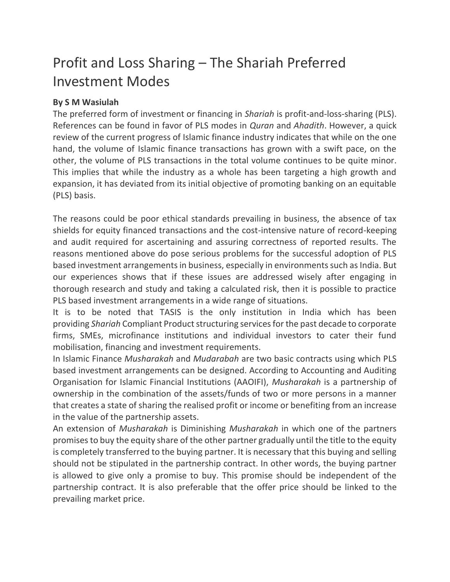# Profit and Loss Sharing – The Shariah Preferred Investment Modes

## **By S M Wasiulah**

The preferred form of investment or financing in *Shariah* is profit-and-loss-sharing (PLS). References can be found in favor of PLS modes in *Quran* and *Ahadith*. However, a quick review of the current progress of Islamic finance industry indicates that while on the one hand, the volume of Islamic finance transactions has grown with a swift pace, on the other, the volume of PLS transactions in the total volume continues to be quite minor. This implies that while the industry as a whole has been targeting a high growth and expansion, it has deviated from its initial objective of promoting banking on an equitable (PLS) basis.

The reasons could be poor ethical standards prevailing in business, the absence of tax shields for equity financed transactions and the cost-intensive nature of record-keeping and audit required for ascertaining and assuring correctness of reported results. The reasons mentioned above do pose serious problems for the successful adoption of PLS based investment arrangements in business, especially in environments such as India. But our experiences shows that if these issues are addressed wisely after engaging in thorough research and study and taking a calculated risk, then it is possible to practice PLS based investment arrangements in a wide range of situations.

It is to be noted that TASIS is the only institution in India which has been providing *Shariah* Compliant Product structuring services for the past decade to corporate firms, SMEs, microfinance institutions and individual investors to cater their fund mobilisation, financing and investment requirements.

In Islamic Finance *Musharakah* and *Mudarabah* are two basic contracts using which PLS based investment arrangements can be designed. According to Accounting and Auditing Organisation for Islamic Financial Institutions (AAOIFI), *Musharakah* is a partnership of ownership in the combination of the assets/funds of two or more persons in a manner that creates a state of sharing the realised profit or income or benefiting from an increase in the value of the partnership assets.

An extension of *Musharakah* is Diminishing *Musharakah* in which one of the partners promises to buy the equity share of the other partner gradually until the title to the equity is completely transferred to the buying partner. It is necessary that this buying and selling should not be stipulated in the partnership contract. In other words, the buying partner is allowed to give only a promise to buy. This promise should be independent of the partnership contract. It is also preferable that the offer price should be linked to the prevailing market price.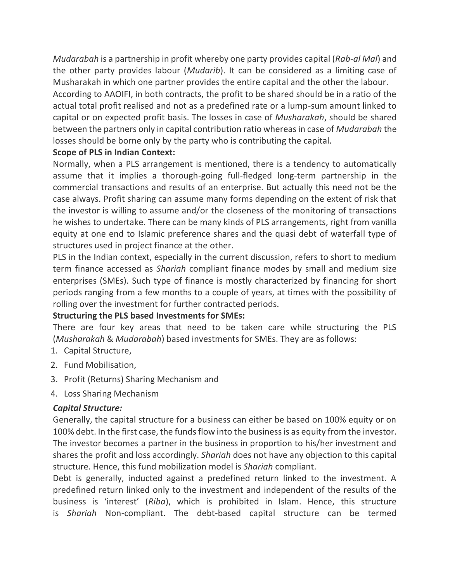*Mudarabah* is a partnership in profit whereby one party provides capital (*Rab-al Mal*) and the other party provides labour (*Mudarib*). It can be considered as a limiting case of Musharakah in which one partner provides the entire capital and the other the labour.

According to AAOIFI, in both contracts, the profit to be shared should be in a ratio of the actual total profit realised and not as a predefined rate or a lump-sum amount linked to capital or on expected profit basis. The losses in case of *Musharakah*, should be shared between the partners only in capital contribution ratio whereas in case of *Mudarabah* the losses should be borne only by the party who is contributing the capital.

## **Scope of PLS in Indian Context:**

Normally, when a PLS arrangement is mentioned, there is a tendency to automatically assume that it implies a thorough-going full-fledged long-term partnership in the commercial transactions and results of an enterprise. But actually this need not be the case always. Profit sharing can assume many forms depending on the extent of risk that the investor is willing to assume and/or the closeness of the monitoring of transactions he wishes to undertake. There can be many kinds of PLS arrangements, right from vanilla equity at one end to Islamic preference shares and the quasi debt of waterfall type of structures used in project finance at the other.

PLS in the Indian context, especially in the current discussion, refers to short to medium term finance accessed as *Shariah* compliant finance modes by small and medium size enterprises (SMEs). Such type of finance is mostly characterized by financing for short periods ranging from a few months to a couple of years, at times with the possibility of rolling over the investment for further contracted periods.

### **Structuring the PLS based Investments for SMEs:**

There are four key areas that need to be taken care while structuring the PLS (*Musharakah* & *Mudarabah*) based investments for SMEs. They are as follows:

- 1. Capital Structure,
- 2. Fund Mobilisation,
- 3. Profit (Returns) Sharing Mechanism and
- 4. Loss Sharing Mechanism

### *Capital Structure:*

Generally, the capital structure for a business can either be based on 100% equity or on 100% debt. In the first case, the funds flow into the business is as equity from the investor. The investor becomes a partner in the business in proportion to his/her investment and shares the profit and loss accordingly. *Shariah* does not have any objection to this capital structure. Hence, this fund mobilization model is *Shariah* compliant.

Debt is generally, inducted against a predefined return linked to the investment. A predefined return linked only to the investment and independent of the results of the business is 'interest' (*Riba*), which is prohibited in Islam. Hence, this structure is *Shariah* Non-compliant. The debt-based capital structure can be termed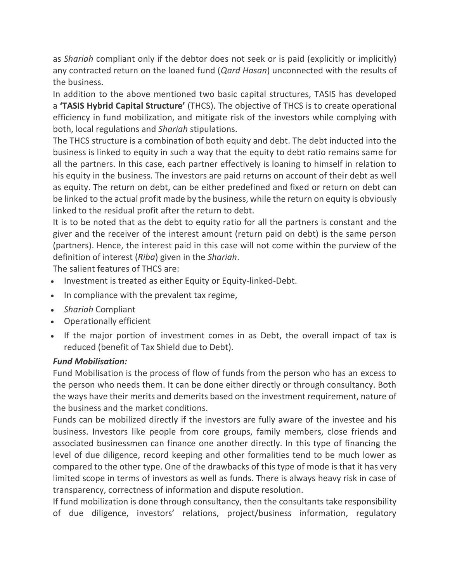as *Shariah* compliant only if the debtor does not seek or is paid (explicitly or implicitly) any contracted return on the loaned fund (*Qard Hasan*) unconnected with the results of the business.

In addition to the above mentioned two basic capital structures, TASIS has developed a **'TASIS Hybrid Capital Structure'** (THCS). The objective of THCS is to create operational efficiency in fund mobilization, and mitigate risk of the investors while complying with both, local regulations and *Shariah* stipulations.

The THCS structure is a combination of both equity and debt. The debt inducted into the business is linked to equity in such a way that the equity to debt ratio remains same for all the partners. In this case, each partner effectively is loaning to himself in relation to his equity in the business. The investors are paid returns on account of their debt as well as equity. The return on debt, can be either predefined and fixed or return on debt can be linked to the actual profit made by the business, while the return on equity is obviously linked to the residual profit after the return to debt.

It is to be noted that as the debt to equity ratio for all the partners is constant and the giver and the receiver of the interest amount (return paid on debt) is the same person (partners). Hence, the interest paid in this case will not come within the purview of the definition of interest (*Riba*) given in the *Shariah*.

The salient features of THCS are:

- Investment is treated as either Equity or Equity-linked-Debt.
- In compliance with the prevalent tax regime,
- *Shariah* Compliant
- Operationally efficient
- If the major portion of investment comes in as Debt, the overall impact of tax is reduced (benefit of Tax Shield due to Debt).

## *Fund Mobilisation:*

Fund Mobilisation is the process of flow of funds from the person who has an excess to the person who needs them. It can be done either directly or through consultancy. Both the ways have their merits and demerits based on the investment requirement, nature of the business and the market conditions.

Funds can be mobilized directly if the investors are fully aware of the investee and his business. Investors like people from core groups, family members, close friends and associated businessmen can finance one another directly. In this type of financing the level of due diligence, record keeping and other formalities tend to be much lower as compared to the other type. One of the drawbacks of this type of mode is that it has very limited scope in terms of investors as well as funds. There is always heavy risk in case of transparency, correctness of information and dispute resolution.

If fund mobilization is done through consultancy, then the consultants take responsibility of due diligence, investors' relations, project/business information, regulatory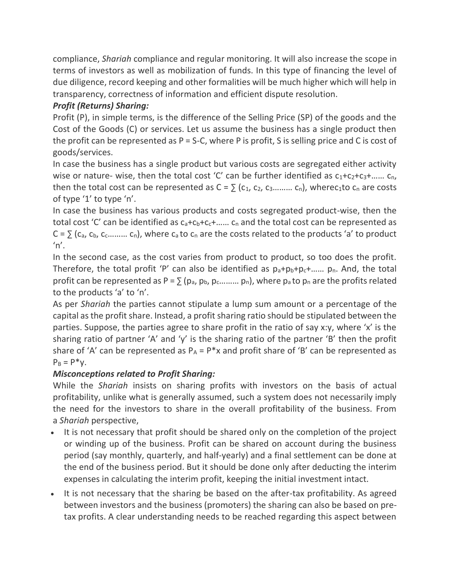compliance, *Shariah* compliance and regular monitoring. It will also increase the scope in terms of investors as well as mobilization of funds. In this type of financing the level of due diligence, record keeping and other formalities will be much higher which will help in transparency, correctness of information and efficient dispute resolution.

# *Profit (Returns) Sharing:*

Profit (P), in simple terms, is the difference of the Selling Price (SP) of the goods and the Cost of the Goods (C) or services. Let us assume the business has a single product then the profit can be represented as  $P = S-C$ , where P is profit, S is selling price and C is cost of goods/services.

In case the business has a single product but various costs are segregated either activity wise or nature- wise, then the total cost 'C' can be further identified as  $c_1+c_2+c_3+...... c_n$ , then the total cost can be represented as  $C = \sum_{i=1}^{n} (c_i, c_2, c_3, \ldots, c_n)$ , wherec<sub>1</sub>to  $c_n$  are costs of type '1' to type 'n'.

In case the business has various products and costs segregated product-wise, then the total cost 'C' can be identified as  $c_a + c_b + c_c + \ldots$ .  $c_n$  and the total cost can be represented as  $C = \sum_{i=1}^{n} (c_{a_i}, c_{b_i}, c_{c_1}, \ldots, c_n)$ , where  $c_{a_i}$  to  $c_{n_i}$  are the costs related to the products 'a' to product  $'n'.$ 

In the second case, as the cost varies from product to product, so too does the profit. Therefore, the total profit 'P' can also be identified as  $p_a+p_b+p_c+...$   $p_n$ . And, the total profit can be represented as P =  $\sum (p_a, p_b, p_c, \ldots, p_n)$ , where  $p_a$  to  $p_n$  are the profits related to the products 'a' to 'n'.

As per *Shariah* the parties cannot stipulate a lump sum amount or a percentage of the capital as the profit share. Instead, a profit sharing ratio should be stipulated between the parties. Suppose, the parties agree to share profit in the ratio of say x:y, where 'x' is the sharing ratio of partner 'A' and 'y' is the sharing ratio of the partner 'B' then the profit share of 'A' can be represented as  $P_A = P^*x$  and profit share of 'B' can be represented as  $P_B = P^*y$ .

# *Misconceptions related to Profit Sharing:*

While the *Shariah* insists on sharing profits with investors on the basis of actual profitability, unlike what is generally assumed, such a system does not necessarily imply the need for the investors to share in the overall profitability of the business. From a *Shariah* perspective,

- It is not necessary that profit should be shared only on the completion of the project or winding up of the business. Profit can be shared on account during the business period (say monthly, quarterly, and half-yearly) and a final settlement can be done at the end of the business period. But it should be done only after deducting the interim expenses in calculating the interim profit, keeping the initial investment intact.
- It is not necessary that the sharing be based on the after-tax profitability. As agreed between investors and the business (promoters) the sharing can also be based on pretax profits. A clear understanding needs to be reached regarding this aspect between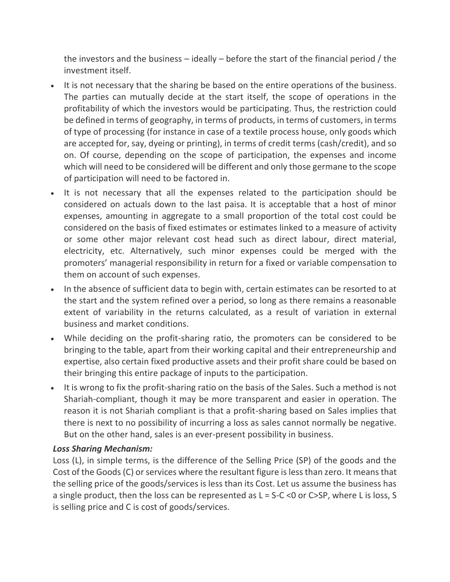the investors and the business – ideally – before the start of the financial period / the investment itself.

- It is not necessary that the sharing be based on the entire operations of the business. The parties can mutually decide at the start itself, the scope of operations in the profitability of which the investors would be participating. Thus, the restriction could be defined in terms of geography, in terms of products, in terms of customers, in terms of type of processing (for instance in case of a textile process house, only goods which are accepted for, say, dyeing or printing), in terms of credit terms (cash/credit), and so on. Of course, depending on the scope of participation, the expenses and income which will need to be considered will be different and only those germane to the scope of participation will need to be factored in.
- It is not necessary that all the expenses related to the participation should be considered on actuals down to the last paisa. It is acceptable that a host of minor expenses, amounting in aggregate to a small proportion of the total cost could be considered on the basis of fixed estimates or estimates linked to a measure of activity or some other major relevant cost head such as direct labour, direct material, electricity, etc. Alternatively, such minor expenses could be merged with the promoters' managerial responsibility in return for a fixed or variable compensation to them on account of such expenses.
- In the absence of sufficient data to begin with, certain estimates can be resorted to at the start and the system refined over a period, so long as there remains a reasonable extent of variability in the returns calculated, as a result of variation in external business and market conditions.
- While deciding on the profit-sharing ratio, the promoters can be considered to be bringing to the table, apart from their working capital and their entrepreneurship and expertise, also certain fixed productive assets and their profit share could be based on their bringing this entire package of inputs to the participation.
- It is wrong to fix the profit-sharing ratio on the basis of the Sales. Such a method is not Shariah-compliant, though it may be more transparent and easier in operation. The reason it is not Shariah compliant is that a profit-sharing based on Sales implies that there is next to no possibility of incurring a loss as sales cannot normally be negative. But on the other hand, sales is an ever-present possibility in business.

### *Loss Sharing Mechanism:*

Loss (L), in simple terms, is the difference of the Selling Price (SP) of the goods and the Cost of the Goods (C) or services where the resultant figure is less than zero. It means that the selling price of the goods/services is less than its Cost. Let us assume the business has a single product, then the loss can be represented as  $L = S-C < 0$  or C>SP, where L is loss, S is selling price and C is cost of goods/services.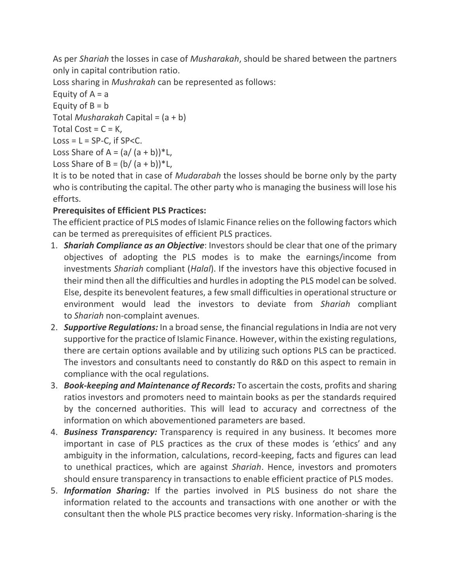As per *Shariah* the losses in case of *Musharakah*, should be shared between the partners only in capital contribution ratio.

Loss sharing in *Mushrakah* can be represented as follows:

Equity of  $A = a$ Equity of  $B = b$ Total *Musharakah* Capital = (a + b)

Total Cost =  $C = K$ ,

 $Loss = L = SP-C$ , if  $SP < C$ .

Loss Share of A =  $(a/(a + b))$ <sup>\*</sup>L,

```
Loss Share of B = (b/(a + b))^*L,
```
It is to be noted that in case of *Mudarabah* the losses should be borne only by the party who is contributing the capital. The other party who is managing the business will lose his efforts.

# **Prerequisites of Efficient PLS Practices:**

The efficient practice of PLS modes of Islamic Finance relies on the following factors which can be termed as prerequisites of efficient PLS practices.

- 1. *Shariah Compliance as an Objective*: Investors should be clear that one of the primary objectives of adopting the PLS modes is to make the earnings/income from investments *Shariah* compliant (*Halal*). If the investors have this objective focused in their mind then all the difficulties and hurdles in adopting the PLS model can be solved. Else, despite its benevolent features, a few small difficulties in operational structure or environment would lead the investors to deviate from *Shariah* compliant to *Shariah* non-complaint avenues.
- 2. *Supportive Regulations:* In a broad sense, the financial regulations in India are not very supportive for the practice of Islamic Finance. However, within the existing regulations, there are certain options available and by utilizing such options PLS can be practiced. The investors and consultants need to constantly do R&D on this aspect to remain in compliance with the ocal regulations.
- 3. *Book-keeping and Maintenance of Records:* To ascertain the costs, profits and sharing ratios investors and promoters need to maintain books as per the standards required by the concerned authorities. This will lead to accuracy and correctness of the information on which abovementioned parameters are based.
- 4. *Business Transparency:* Transparency is required in any business. It becomes more important in case of PLS practices as the crux of these modes is 'ethics' and any ambiguity in the information, calculations, record-keeping, facts and figures can lead to unethical practices, which are against *Shariah*. Hence, investors and promoters should ensure transparency in transactions to enable efficient practice of PLS modes.
- 5. *Information Sharing:* If the parties involved in PLS business do not share the information related to the accounts and transactions with one another or with the consultant then the whole PLS practice becomes very risky. Information-sharing is the